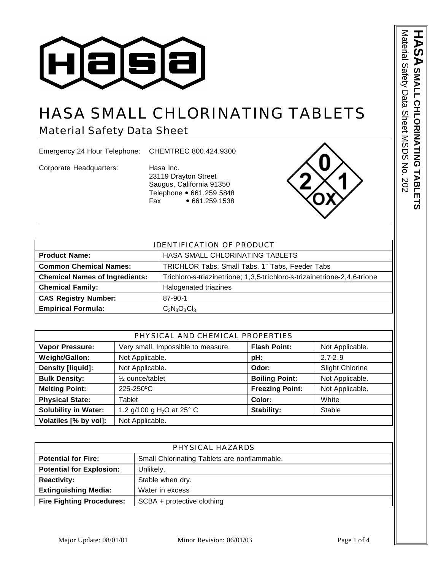

## HASA SMALL CHLORINATING TABLETS

Material Safety Data Sheet

Emergency 24 Hour Telephone: CHEMTREC 800.424.9300

Corporate Headquarters: Hasa Inc.

23119 Drayton Street Saugus, California 91350 Telephone • 661.259.5848 Fax • 661.259.1538



| <b>IDENTIFICATION OF PRODUCT</b>                        |                                                                           |  |
|---------------------------------------------------------|---------------------------------------------------------------------------|--|
| HASA SMALL CHLORINATING TABLETS<br><b>Product Name:</b> |                                                                           |  |
| <b>Common Chemical Names:</b>                           | TRICHLOR Tabs, Small Tabs, 1" Tabs, Feeder Tabs                           |  |
| <b>Chemical Names of Ingredients:</b>                   | Trichloro-s-triazinetrione; 1,3,5-trichloro-s-trizainetrione-2,4,6-trione |  |
| <b>Chemical Family:</b>                                 | Halogenated triazines                                                     |  |
| <b>CAS Registry Number:</b>                             | $87 - 90 - 1$                                                             |  |
| <b>Empirical Formula:</b>                               | $C_3N_3O_3Cl_3$                                                           |  |

| PHYSICAL AND CHEMICAL PROPERTIES |                                    |                        |                        |
|----------------------------------|------------------------------------|------------------------|------------------------|
| <b>Vapor Pressure:</b>           | Very small. Impossible to measure. | <b>Flash Point:</b>    | Not Applicable.        |
| <b>Weight/Gallon:</b>            | Not Applicable.                    | pH:                    | $2.7 - 2.9$            |
| Density [liquid]:                | Not Applicable.                    | Odor:                  | <b>Slight Chlorine</b> |
| <b>Bulk Density:</b>             | 1/ <sub>2</sub> ounce/tablet       | <b>Boiling Point:</b>  | Not Applicable.        |
| <b>Melting Point:</b>            | 225-250°C                          | <b>Freezing Point:</b> | Not Applicable.        |
| <b>Physical State:</b>           | Tablet                             | Color:                 | White                  |
| <b>Solubility in Water:</b>      | 1.2 g/100 g $H_2O$ at 25° C        | Stability:             | Stable                 |
| Volatiles [% by vol]:            | Not Applicable.                    |                        |                        |

| PHYSICAL HAZARDS                 |                                              |  |
|----------------------------------|----------------------------------------------|--|
| <b>Potential for Fire:</b>       | Small Chlorinating Tablets are nonflammable. |  |
| <b>Potential for Explosion:</b>  | Unlikely.                                    |  |
| <b>Reactivity:</b>               | Stable when dry.                             |  |
| <b>Extinguishing Media:</b>      | Water in excess                              |  |
| <b>Fire Fighting Procedures:</b> | SCBA + protective clothing                   |  |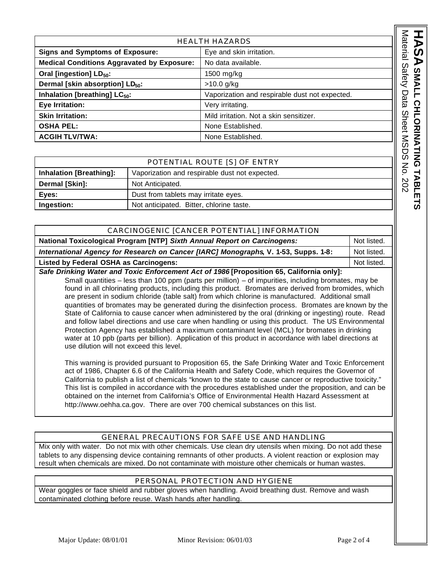| <b>HEALTH HAZARDS</b>                                              |                                                |
|--------------------------------------------------------------------|------------------------------------------------|
| <b>Signs and Symptoms of Exposure:</b><br>Eye and skin irritation. |                                                |
| <b>Medical Conditions Aggravated by Exposure:</b>                  | No data available.                             |
| Oral [ingestion] LD <sub>50</sub> :                                | 1500 mg/kg                                     |
| Dermal [skin absorption] LD <sub>50</sub> :                        | $>10.0$ g/kg                                   |
| Inhalation [breathing] LC <sub>50</sub> :                          | Vaporization and respirable dust not expected. |
| Eye Irritation:                                                    | Very irritating.                               |
| <b>Skin Irritation:</b>                                            | Mild irritation. Not a skin sensitizer.        |
| <b>OSHA PEL:</b>                                                   | None Established.                              |
| <b>ACGIH TLV/TWA:</b>                                              | None Established.                              |

| POTENTIAL ROUTE [S] OF ENTRY |                                                |  |
|------------------------------|------------------------------------------------|--|
| Inhalation [Breathing]:      | Vaporization and respirable dust not expected. |  |
| Dermal [Skin]:               | Not Anticipated.                               |  |
| Eyes:                        | Dust from tablets may irritate eyes.           |  |
| Ingestion:                   | Not anticipated. Bitter, chlorine taste.       |  |

| CARCINOGENIC [CANCER POTENTIAL] INFORMATION                                                                                                                                                                                                                                                                                                                                                                                                                                                                          |             |
|----------------------------------------------------------------------------------------------------------------------------------------------------------------------------------------------------------------------------------------------------------------------------------------------------------------------------------------------------------------------------------------------------------------------------------------------------------------------------------------------------------------------|-------------|
| National Toxicological Program [NTP] Sixth Annual Report on Carcinogens:                                                                                                                                                                                                                                                                                                                                                                                                                                             | Not listed. |
| International Agency for Research on Cancer [IARC] Monographs, V. 1-53, Supps. 1-8:                                                                                                                                                                                                                                                                                                                                                                                                                                  | Not listed. |
| <b>Listed by Federal OSHA as Carcinogens:</b>                                                                                                                                                                                                                                                                                                                                                                                                                                                                        | Not listed. |
| Safe Drinking Water and Toxic Enforcement Act of 1986 [Proposition 65, California only]:<br>Small quantities - less than 100 ppm (parts per million) - of impurities, including bromates, may be<br>found in all chlorinating products, including this product. Bromates are derived from bromides, which<br>are present in sodium chloride (table salt) from which chlorine is manufactured. Additional small<br>quantities of bromates may be generated during the disinfection process. Bromates are known by the |             |
| State of California to cause cancer when administered by the oral (drinking or ingesting) route. Read<br>and follow label directions and use care when handling or using this product. The US Environmental<br>Protection Agency has established a maximum contaminant level (MCL) for bromates in drinking<br>water at 10 ppb (parts per billion). Application of this product in accordance with label directions at                                                                                               |             |

This warning is provided pursuant to Proposition 65, the Safe Drinking Water and Toxic Enforcement act of 1986, Chapter 6.6 of the California Health and Safety Code, which requires the Governor of California to publish a list of chemicals "known to the state to cause cancer or reproductive toxicity." This list is compiled in accordance with the procedures established under the proposition, and can be obtained on the internet from California's Office of Environmental Health Hazard Assessment at http://www.oehha.ca.gov. There are over 700 chemical substances on this list.

## GENERAL PRECAUTIONS FOR SAFE USE AND HANDLING

Mix only with water. Do not mix with other chemicals. Use clean dry utensils when mixing. Do not add these tablets to any dispensing device containing remnants of other products. A violent reaction or explosion may result when chemicals are mixed. Do not contaminate with moisture other chemicals or human wastes.

## PERSONAL PROTECTION AND HYGIENE

Wear goggles or face shield and rubber gloves when handling. Avoid breathing dust. Remove and wash contaminated clothing before reuse. Wash hands after handling.

use dilution will not exceed this level.

**A SMALL CHLORINATING TABLE SMALL CHLORINATING TABLETS**

ದ

Material Safety Data Sheet MSDS No. 202

Material Safety Data Sheet MSDS No. 202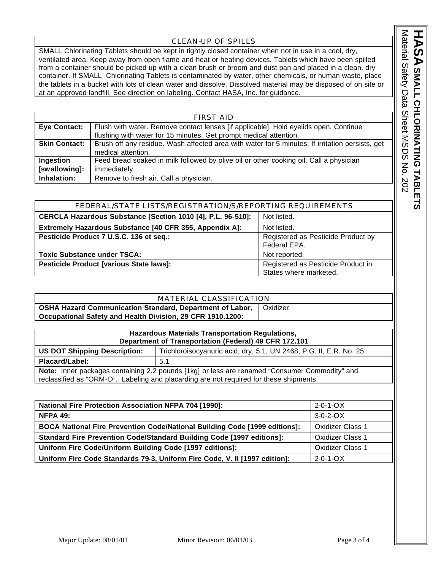## CLEAN-UP OF SPILLS

SMALL Chlorinating Tablets should be kept in tightly closed container when not in use in a cool, dry, ventilated area. Keep away from open flame and heat or heating devices. Tablets which have been spilled from a container should be picked up with a clean brush or broom and dust pan and placed in a clean, dry container. If SMALL Chlorinating Tablets is contaminated by water, other chemicals, or human waste, place the tablets in a bucket with lots of clean water and dissolve. Dissolved material may be disposed of on site or at an approved landfill. See direction on labeling. Contact HASA, Inc. for guidance.

| <b>FIRST AID</b>     |                                                                                                 |  |
|----------------------|-------------------------------------------------------------------------------------------------|--|
| <b>Eye Contact:</b>  | Flush with water. Remove contact lenses [if applicable]. Hold eyelids open. Continue            |  |
|                      | flushing with water for 15 minutes. Get prompt medical attention.                               |  |
| <b>Skin Contact:</b> | Brush off any residue. Wash affected area with water for 5 minutes. If irritation persists, get |  |
|                      | medical attention.                                                                              |  |
| Ingestion            | Feed bread soaked in milk followed by olive oil or other cooking oil. Call a physician          |  |
| [swallowing]:        | immediately.                                                                                    |  |
| Inhalation:          | Remove to fresh air. Call a physician.                                                          |  |

| FEDERAL/STATE LISTS/REGISTRATION/S/REPORTING REQUIREMENTS              |                                    |  |
|------------------------------------------------------------------------|------------------------------------|--|
| CERCLA Hazardous Substance [Section 1010 [4], P.L. 96-510]:            | Not listed.                        |  |
| Extremely Hazardous Substance [40 CFR 355, Appendix A]:<br>Not listed. |                                    |  |
| Pesticide Product 7 U.S.C. 136 et seq.:                                | Registered as Pesticide Product by |  |
|                                                                        | Federal EPA.                       |  |
| <b>Toxic Substance under TSCA:</b>                                     | Not reported.                      |  |
| Pesticide Product [various State laws]:                                | Registered as Pesticide Product in |  |
|                                                                        | States where marketed.             |  |

| MATERIAL CLASSIFICATION                                         |          |  |
|-----------------------------------------------------------------|----------|--|
| <b>OSHA Hazard Communication Standard, Department of Labor,</b> | Oxidizer |  |
| Occupational Safety and Health Division, 29 CFR 1910.1200:      |          |  |
|                                                                 |          |  |
| <b>Hazardous Materials Transportation Regulations,</b>          |          |  |

| Hazardous materials Transportation Requiations,<br>Department of Transportation (Federal) 49 CFR 172.101                                                                                |     |  |
|-----------------------------------------------------------------------------------------------------------------------------------------------------------------------------------------|-----|--|
| <b>US DOT Shipping Description:</b><br>Trichloroisocyanuric acid, dry, 5.1, UN 2468, P.G. II, E.R. No. 25                                                                               |     |  |
| Placard/Label:                                                                                                                                                                          | 5.1 |  |
| Note: Inner packages containing 2.2 pounds [1kg] or less are renamed "Consumer Commodity" and<br>reclassified as "ORM-D". Labeling and placarding are not required for these shipments. |     |  |

| <b>National Fire Protection Association NFPA 704 [1990]:</b>                      | $2 - 0 - 1 - ON$        |
|-----------------------------------------------------------------------------------|-------------------------|
| <b>NFPA 49:</b>                                                                   | $3-0-2-0X$              |
| <b>BOCA National Fire Prevention Code/National Building Code [1999 editions]:</b> | <b>Oxidizer Class 1</b> |
| <b>Standard Fire Prevention Code/Standard Building Code [1997 editions]:</b>      | <b>Oxidizer Class 1</b> |
| Uniform Fire Code/Uniform Building Code [1997 editions]:                          | <b>Oxidizer Class 1</b> |
| Uniform Fire Code Standards 79-3, Uniform Fire Code, V. II [1997 edition]:        | $2 - 0 - 1 - ON$        |